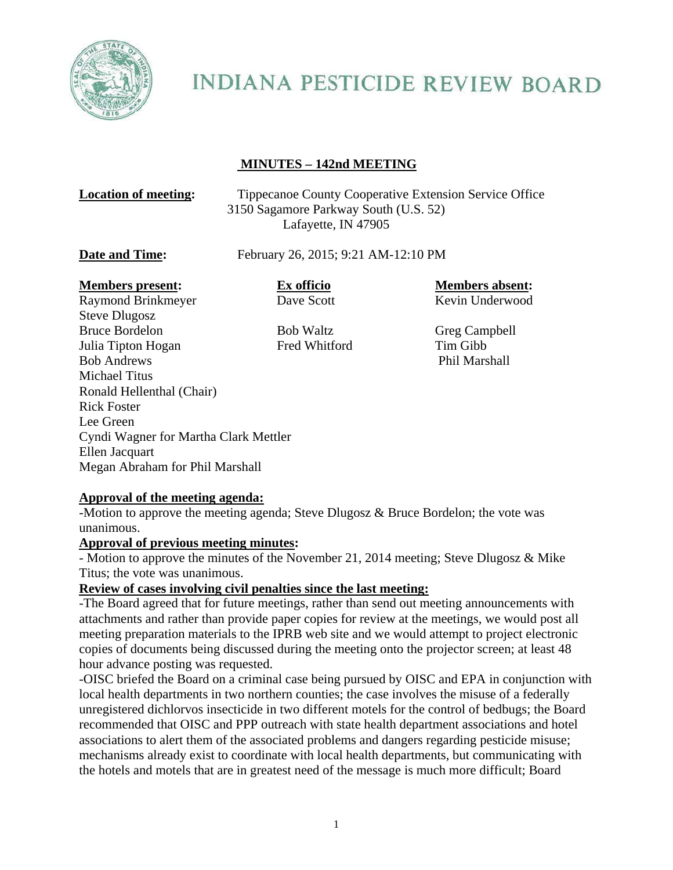

# **INDIANA PESTICIDE REVIEW BOARD**

# **MINUTES – 142nd MEETING**

| <b>Location of meeting:</b>                   | <b>Tippecanoe County Cooperative Extension Service Office</b><br>3150 Sagamore Parkway South (U.S. 52)<br>Lafayette, IN 47905<br>February 26, 2015; 9:21 AM-12:10 PM |                                           |
|-----------------------------------------------|----------------------------------------------------------------------------------------------------------------------------------------------------------------------|-------------------------------------------|
| Date and Time:                                |                                                                                                                                                                      |                                           |
| <b>Members present:</b><br>Raymond Brinkmeyer | Ex officio<br>Dave Scott                                                                                                                                             | <b>Members absent:</b><br>Kevin Underwood |
|                                               |                                                                                                                                                                      |                                           |

Steve Dlugosz Bruce Bordelon Bob Waltz Greg Campbell Julia Tipton Hogan Fred Whitford Tim Gibb Bob Andrews Phil Marshall Michael Titus Ronald Hellenthal (Chair) Rick Foster Lee Green Cyndi Wagner for Martha Clark Mettler Ellen Jacquart Megan Abraham for Phil Marshall

# **Approval of the meeting agenda:**

-Motion to approve the meeting agenda; Steve Dlugosz & Bruce Bordelon; the vote was unanimous.

#### **Approval of previous meeting minutes:**

- Motion to approve the minutes of the November 21, 2014 meeting; Steve Dlugosz & Mike Titus; the vote was unanimous.

#### **Review of cases involving civil penalties since the last meeting:**

-The Board agreed that for future meetings, rather than send out meeting announcements with attachments and rather than provide paper copies for review at the meetings, we would post all meeting preparation materials to the IPRB web site and we would attempt to project electronic copies of documents being discussed during the meeting onto the projector screen; at least 48 hour advance posting was requested.

-OISC briefed the Board on a criminal case being pursued by OISC and EPA in conjunction with local health departments in two northern counties; the case involves the misuse of a federally unregistered dichlorvos insecticide in two different motels for the control of bedbugs; the Board recommended that OISC and PPP outreach with state health department associations and hotel associations to alert them of the associated problems and dangers regarding pesticide misuse; mechanisms already exist to coordinate with local health departments, but communicating with the hotels and motels that are in greatest need of the message is much more difficult; Board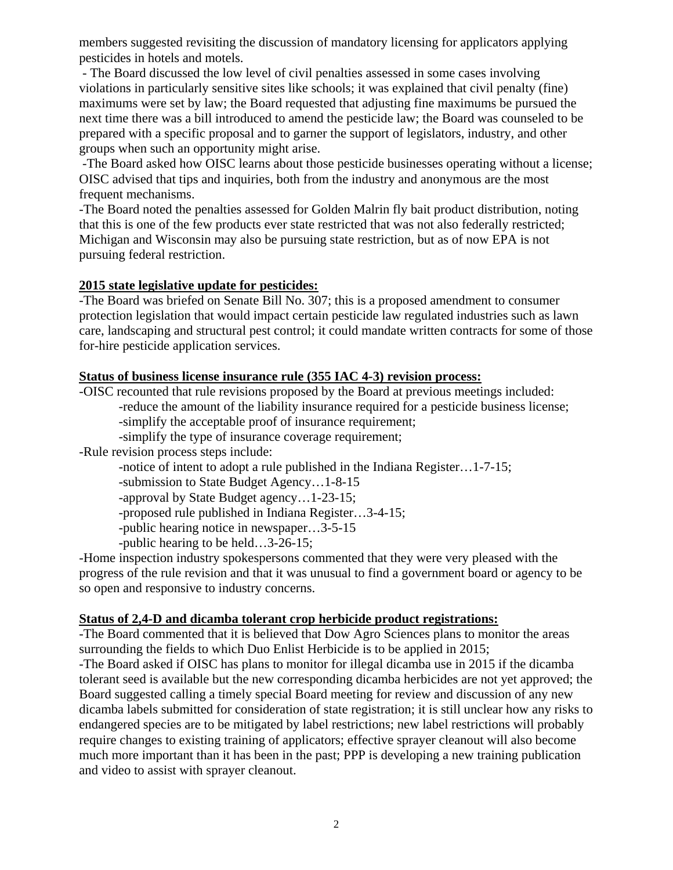members suggested revisiting the discussion of mandatory licensing for applicators applying pesticides in hotels and motels.

 - The Board discussed the low level of civil penalties assessed in some cases involving violations in particularly sensitive sites like schools; it was explained that civil penalty (fine) maximums were set by law; the Board requested that adjusting fine maximums be pursued the next time there was a bill introduced to amend the pesticide law; the Board was counseled to be prepared with a specific proposal and to garner the support of legislators, industry, and other groups when such an opportunity might arise.

 -The Board asked how OISC learns about those pesticide businesses operating without a license; OISC advised that tips and inquiries, both from the industry and anonymous are the most frequent mechanisms.

-The Board noted the penalties assessed for Golden Malrin fly bait product distribution, noting that this is one of the few products ever state restricted that was not also federally restricted; Michigan and Wisconsin may also be pursuing state restriction, but as of now EPA is not pursuing federal restriction.

#### **2015 state legislative update for pesticides:**

-The Board was briefed on Senate Bill No. 307; this is a proposed amendment to consumer protection legislation that would impact certain pesticide law regulated industries such as lawn care, landscaping and structural pest control; it could mandate written contracts for some of those for-hire pesticide application services.

### **Status of business license insurance rule (355 IAC 4-3) revision process:**

-OISC recounted that rule revisions proposed by the Board at previous meetings included:

-reduce the amount of the liability insurance required for a pesticide business license;

-simplify the acceptable proof of insurance requirement;

-simplify the type of insurance coverage requirement;

-Rule revision process steps include:

-notice of intent to adopt a rule published in the Indiana Register…1-7-15;

-submission to State Budget Agency…1-8-15

-approval by State Budget agency…1-23-15;

-proposed rule published in Indiana Register…3-4-15;

-public hearing notice in newspaper…3-5-15

-public hearing to be held…3-26-15;

-Home inspection industry spokespersons commented that they were very pleased with the progress of the rule revision and that it was unusual to find a government board or agency to be so open and responsive to industry concerns.

# **Status of 2,4-D and dicamba tolerant crop herbicide product registrations:**

-The Board commented that it is believed that Dow Agro Sciences plans to monitor the areas surrounding the fields to which Duo Enlist Herbicide is to be applied in 2015;

-The Board asked if OISC has plans to monitor for illegal dicamba use in 2015 if the dicamba tolerant seed is available but the new corresponding dicamba herbicides are not yet approved; the Board suggested calling a timely special Board meeting for review and discussion of any new dicamba labels submitted for consideration of state registration; it is still unclear how any risks to endangered species are to be mitigated by label restrictions; new label restrictions will probably require changes to existing training of applicators; effective sprayer cleanout will also become much more important than it has been in the past; PPP is developing a new training publication and video to assist with sprayer cleanout.